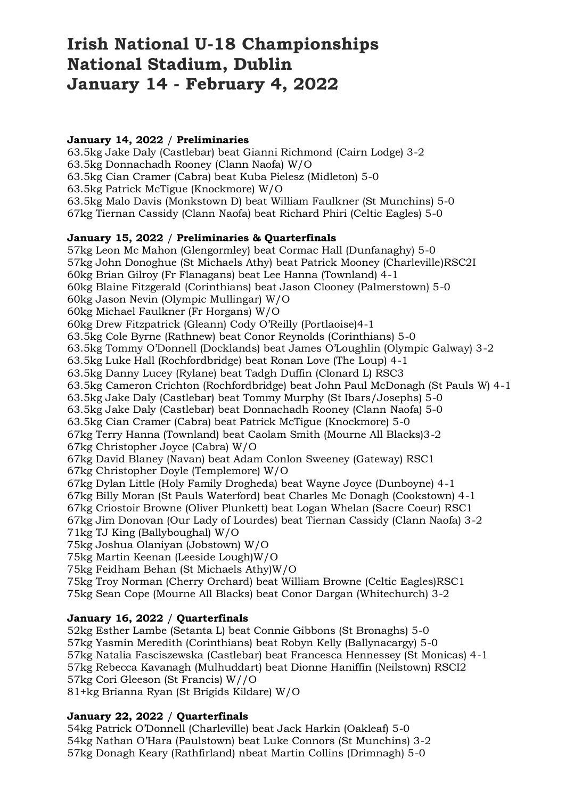# **Irish National U-18 Championships National Stadium, Dublin January 14 - February 4, 2022**

#### **January 14, 2022** / **Preliminaries**

63.5kg Jake Daly (Castlebar) beat Gianni Richmond (Cairn Lodge) 3-2 63.5kg Donnachadh Rooney (Clann Naofa) W/O 63.5kg Cian Cramer (Cabra) beat Kuba Pielesz (Midleton) 5-0 63.5kg Patrick McTigue (Knockmore) W/O 63.5kg Malo Davis (Monkstown D) beat William Faulkner (St Munchins) 5-0 67kg Tiernan Cassidy (Clann Naofa) beat Richard Phiri (Celtic Eagles) 5-0

#### **January 15, 2022** / **Preliminaries & Quarterfinals**

57kg Leon Mc Mahon (Glengormley) beat Cormac Hall (Dunfanaghy) 5-0 57kg John Donoghue (St Michaels Athy) beat Patrick Mooney (Charleville)RSC2I 60kg Brian Gilroy (Fr Flanagans) beat Lee Hanna (Townland) 4-1 60kg Blaine Fitzgerald (Corinthians) beat Jason Clooney (Palmerstown) 5-0 60kg Jason Nevin (Olympic Mullingar) W/O 60kg Michael Faulkner (Fr Horgans) W/O 60kg Drew Fitzpatrick (Gleann) Cody O'Reilly (Portlaoise)4-1 63.5kg Cole Byrne (Rathnew) beat Conor Reynolds (Corinthians) 5-0 63.5kg Tommy O'Donnell (Docklands) beat James O'Loughlin (Olympic Galway) 3-2 63.5kg Luke Hall (Rochfordbridge) beat Ronan Love (The Loup) 4-1 63.5kg Danny Lucey (Rylane) beat Tadgh Duffin (Clonard L) RSC3 63.5kg Cameron Crichton (Rochfordbridge) beat John Paul McDonagh (St Pauls W) 4-1 63.5kg Jake Daly (Castlebar) beat Tommy Murphy (St Ibars/Josephs) 5-0 63.5kg Jake Daly (Castlebar) beat Donnachadh Rooney (Clann Naofa) 5-0 63.5kg Cian Cramer (Cabra) beat Patrick McTigue (Knockmore) 5-0 67kg Terry Hanna (Townland) beat Caolam Smith (Mourne All Blacks)3-2 67kg Christopher Joyce (Cabra) W/O 67kg David Blaney (Navan) beat Adam Conlon Sweeney (Gateway) RSC1 67kg Christopher Doyle (Templemore) W/O 67kg Dylan Little (Holy Family Drogheda) beat Wayne Joyce (Dunboyne) 4-1 67kg Billy Moran (St Pauls Waterford) beat Charles Mc Donagh (Cookstown) 4-1 67kg Criostoir Browne (Oliver Plunkett) beat Logan Whelan (Sacre Coeur) RSC1 67kg Jim Donovan (Our Lady of Lourdes) beat Tiernan Cassidy (Clann Naofa) 3-2 71kg TJ King (Ballyboughal) W/O 75kg Joshua Olaniyan (Jobstown) W/O 75kg Martin Keenan (Leeside Lough)W/O 75kg Feidham Behan (St Michaels Athy)W/O 75kg Troy Norman (Cherry Orchard) beat William Browne (Celtic Eagles)RSC1

75kg Sean Cope (Mourne All Blacks) beat Conor Dargan (Whitechurch) 3-2

# **January 16, 2022** / **Quarterfinals**

52kg Esther Lambe (Setanta L) beat Connie Gibbons (St Bronaghs) 5-0 57kg Yasmin Meredith (Corinthians) beat Robyn Kelly (Ballynacargy) 5-0 57kg Natalia Fasciszewska (Castlebar) beat Francesca Hennessey (St Monicas) 4-1 57kg Rebecca Kavanagh (Mulhuddart) beat Dionne Haniffin (Neilstown) RSCI2 57kg Cori Gleeson (St Francis) W//O 81+kg Brianna Ryan (St Brigids Kildare) W/O

# **January 22, 2022** / **Quarterfinals**

54kg Patrick O'Donnell (Charleville) beat Jack Harkin (Oakleaf) 5-0 54kg Nathan O'Hara (Paulstown) beat Luke Connors (St Munchins) 3-2 57kg Donagh Keary (Rathfirland) nbeat Martin Collins (Drimnagh) 5-0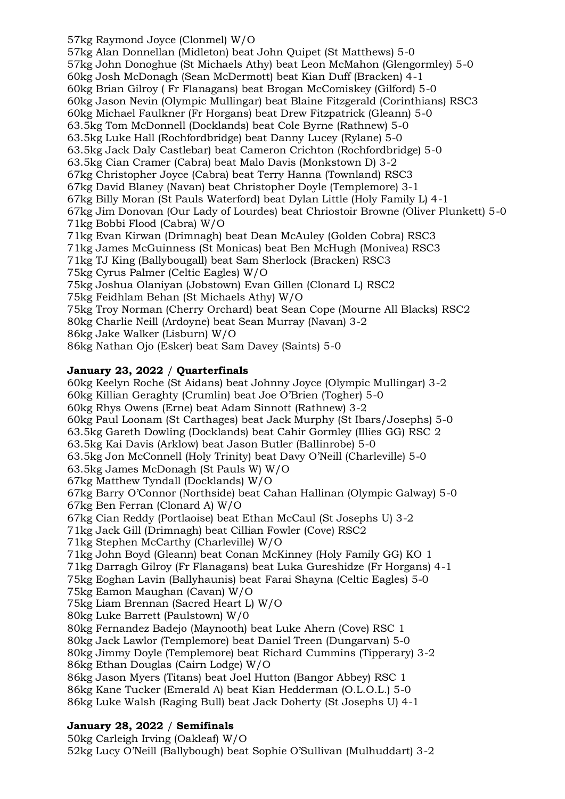57kg Raymond Joyce (Clonmel) W/O 57kg Alan Donnellan (Midleton) beat John Quipet (St Matthews) 5-0 57kg John Donoghue (St Michaels Athy) beat Leon McMahon (Glengormley) 5-0 60kg Josh McDonagh (Sean McDermott) beat Kian Duff (Bracken) 4-1 60kg Brian Gilroy ( Fr Flanagans) beat Brogan McComiskey (Gilford) 5-0 60kg Jason Nevin (Olympic Mullingar) beat Blaine Fitzgerald (Corinthians) RSC3 60kg Michael Faulkner (Fr Horgans) beat Drew Fitzpatrick (Gleann) 5-0 63.5kg Tom McDonnell (Docklands) beat Cole Byrne (Rathnew) 5-0 63.5kg Luke Hall (Rochfordbridge) beat Danny Lucey (Rylane) 5-0 63.5kg Jack Daly Castlebar) beat Cameron Crichton (Rochfordbridge) 5-0 63.5kg Cian Cramer (Cabra) beat Malo Davis (Monkstown D) 3-2 67kg Christopher Joyce (Cabra) beat Terry Hanna (Townland) RSC3 67kg David Blaney (Navan) beat Christopher Doyle (Templemore) 3-1 67kg Billy Moran (St Pauls Waterford) beat Dylan Little (Holy Family L) 4-1 67kg Jim Donovan (Our Lady of Lourdes) beat Chriostoir Browne (Oliver Plunkett) 5-0 71kg Bobbi Flood (Cabra) W/O 71kg Evan Kirwan (Drimnagh) beat Dean McAuley (Golden Cobra) RSC3 71kg James McGuinness (St Monicas) beat Ben McHugh (Monivea) RSC3 71kg TJ King (Ballybougall) beat Sam Sherlock (Bracken) RSC3 75kg Cyrus Palmer (Celtic Eagles) W/O 75kg Joshua Olaniyan (Jobstown) Evan Gillen (Clonard L) RSC2 75kg Feidhlam Behan (St Michaels Athy) W/O 75kg Troy Norman (Cherry Orchard) beat Sean Cope (Mourne All Blacks) RSC2 80kg Charlie Neill (Ardoyne) beat Sean Murray (Navan) 3-2 86kg Jake Walker (Lisburn) W/O 86kg Nathan Ojo (Esker) beat Sam Davey (Saints) 5-0

# **January 23, 2022** / **Quarterfinals**

60kg Keelyn Roche (St Aidans) beat Johnny Joyce (Olympic Mullingar) 3-2 60kg Killian Geraghty (Crumlin) beat Joe O'Brien (Togher) 5-0 60kg Rhys Owens (Erne) beat Adam Sinnott (Rathnew) 3-2 60kg Paul Loonam (St Carthages) beat Jack Murphy (St Ibars/Josephs) 5-0 63.5kg Gareth Dowling (Docklands) beat Cahir Gormley (Illies GG) RSC 2 63.5kg Kai Davis (Arklow) beat Jason Butler (Ballinrobe) 5-0 63.5kg Jon McConnell (Holy Trinity) beat Davy O'Neill (Charleville) 5-0 63.5kg James McDonagh (St Pauls W) W/O 67kg Matthew Tyndall (Docklands) W/O 67kg Barry O'Connor (Northside) beat Cahan Hallinan (Olympic Galway) 5-0 67kg Ben Ferran (Clonard A) W/O 67kg Cian Reddy (Portlaoise) beat Ethan McCaul (St Josephs U) 3-2 71kg Jack Gill (Drimnagh) beat Cillian Fowler (Cove) RSC2 71kg Stephen McCarthy (Charleville) W/O 71kg John Boyd (Gleann) beat Conan McKinney (Holy Family GG) KO 1 71kg Darragh Gilroy (Fr Flanagans) beat Luka Gureshidze (Fr Horgans) 4-1 75kg Eoghan Lavin (Ballyhaunis) beat Farai Shayna (Celtic Eagles) 5-0 75kg Eamon Maughan (Cavan) W/O 75kg Liam Brennan (Sacred Heart L) W/O 80kg Luke Barrett (Paulstown) W/0 80kg Fernandez Badejo (Maynooth) beat Luke Ahern (Cove) RSC 1 80kg Jack Lawlor (Templemore) beat Daniel Treen (Dungarvan) 5-0 80kg Jimmy Doyle (Templemore) beat Richard Cummins (Tipperary) 3-2 86kg Ethan Douglas (Cairn Lodge) W/O 86kg Jason Myers (Titans) beat Joel Hutton (Bangor Abbey) RSC 1 86kg Kane Tucker (Emerald A) beat Kian Hedderman (O.L.O.L.) 5-0 86kg Luke Walsh (Raging Bull) beat Jack Doherty (St Josephs U) 4-1

# **January 28, 2022** / **Semifinals**

50kg Carleigh Irving (Oakleaf) W/O 52kg Lucy O'Neill (Ballybough) beat Sophie O'Sullivan (Mulhuddart) 3-2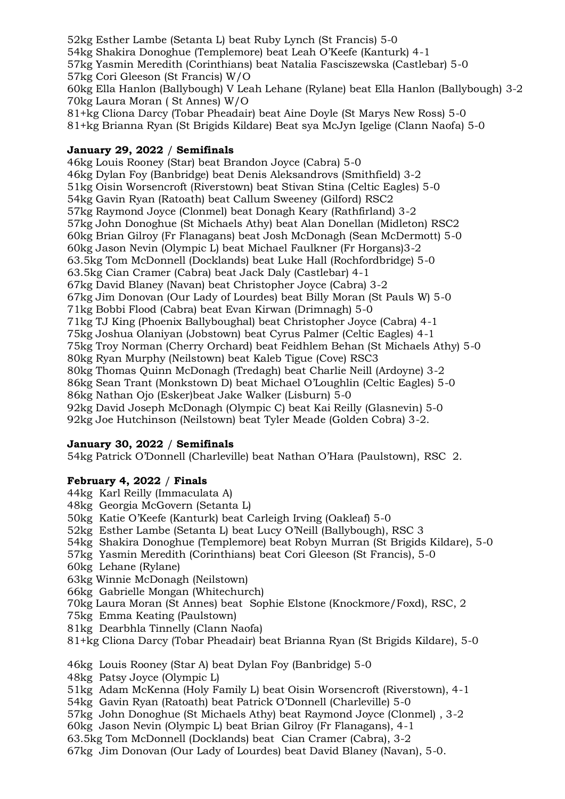52kg Esther Lambe (Setanta L) beat Ruby Lynch (St Francis) 5-0 54kg Shakira Donoghue (Templemore) beat Leah O'Keefe (Kanturk) 4-1 57kg Yasmin Meredith (Corinthians) beat Natalia Fasciszewska (Castlebar) 5-0 57kg Cori Gleeson (St Francis) W/O 60kg Ella Hanlon (Ballybough) V Leah Lehane (Rylane) beat Ella Hanlon (Ballybough) 3-2 70kg Laura Moran ( St Annes) W/O 81+kg Cliona Darcy (Tobar Pheadair) beat Aine Doyle (St Marys New Ross) 5-0 81+kg Brianna Ryan (St Brigids Kildare) Beat sya McJyn Igelige (Clann Naofa) 5-0

#### **January 29, 2022** / **Semifinals**

46kg Louis Rooney (Star) beat Brandon Joyce (Cabra) 5-0 46kg Dylan Foy (Banbridge) beat Denis Aleksandrovs (Smithfield) 3-2 51kg Oisin Worsencroft (Riverstown) beat Stivan Stina (Celtic Eagles) 5-0 54kg Gavin Ryan (Ratoath) beat Callum Sweeney (Gilford) RSC2 57kg Raymond Joyce (Clonmel) beat Donagh Keary (Rathfirland) 3-2 57kg John Donoghue (St Michaels Athy) beat Alan Donellan (Midleton) RSC2 60kg Brian Gilroy (Fr Flanagans) beat Josh McDonagh (Sean McDermott) 5-0 60kg Jason Nevin (Olympic L) beat Michael Faulkner (Fr Horgans)3-2 63.5kg Tom McDonnell (Docklands) beat Luke Hall (Rochfordbridge) 5-0 63.5kg Cian Cramer (Cabra) beat Jack Daly (Castlebar) 4-1 67kg David Blaney (Navan) beat Christopher Joyce (Cabra) 3-2 67kg Jim Donovan (Our Lady of Lourdes) beat Billy Moran (St Pauls W) 5-0 71kg Bobbi Flood (Cabra) beat Evan Kirwan (Drimnagh) 5-0 71kg TJ King (Phoenix Ballyboughal) beat Christopher Joyce (Cabra) 4-1 75kg Joshua Olaniyan (Jobstown) beat Cyrus Palmer (Celtic Eagles) 4-1 75kg Troy Norman (Cherry Orchard) beat Feidhlem Behan (St Michaels Athy) 5-0 80kg Ryan Murphy (Neilstown) beat Kaleb Tigue (Cove) RSC3 80kg Thomas Quinn McDonagh (Tredagh) beat Charlie Neill (Ardoyne) 3-2 86kg Sean Trant (Monkstown D) beat Michael O'Loughlin (Celtic Eagles) 5-0 86kg Nathan Ojo (Esker)beat Jake Walker (Lisburn) 5-0 92kg David Joseph McDonagh (Olympic C) beat Kai Reilly (Glasnevin) 5-0 92kg Joe Hutchinson (Neilstown) beat Tyler Meade (Golden Cobra) 3-2.

# **January 30, 2022** / **Semifinals**

54kg Patrick O'Donnell (Charleville) beat Nathan O'Hara (Paulstown), RSC 2.

# **February 4, 2022** / **Finals**

- 44kg Karl Reilly (Immaculata A)
- 48kg Georgia McGovern (Setanta L)
- 50kg Katie O'Keefe (Kanturk) beat Carleigh Irving (Oakleaf) 5-0
- 52kg Esther Lambe (Setanta L) beat Lucy O'Neill (Ballybough), RSC 3
- 54kg Shakira Donoghue (Templemore) beat Robyn Murran (St Brigids Kildare), 5-0
- 57kg Yasmin Meredith (Corinthians) beat Cori Gleeson (St Francis), 5-0
- 60kg Lehane (Rylane)
- 63kg Winnie McDonagh (Neilstown)
- 66kg Gabrielle Mongan (Whitechurch)
- 70kg Laura Moran (St Annes) beat Sophie Elstone (Knockmore/Foxd), RSC, 2
- 75kg Emma Keating (Paulstown)
- 81kg Dearbhla Tinnelly (Clann Naofa)
- 81+kg Cliona Darcy (Tobar Pheadair) beat Brianna Ryan (St Brigids Kildare), 5-0
- 46kg Louis Rooney (Star A) beat Dylan Foy (Banbridge) 5-0
- 48kg Patsy Joyce (Olympic L)
- 51kg Adam McKenna (Holy Family L) beat Oisin Worsencroft (Riverstown), 4-1
- 54kg Gavin Ryan (Ratoath) beat Patrick O'Donnell (Charleville) 5-0
- 57kg John Donoghue (St Michaels Athy) beat Raymond Joyce (Clonmel) , 3-2
- 60kg Jason Nevin (Olympic L) beat Brian Gilroy (Fr Flanagans), 4-1
- 63.5kg Tom McDonnell (Docklands) beat Cian Cramer (Cabra), 3-2

67kg Jim Donovan (Our Lady of Lourdes) beat David Blaney (Navan), 5-0.